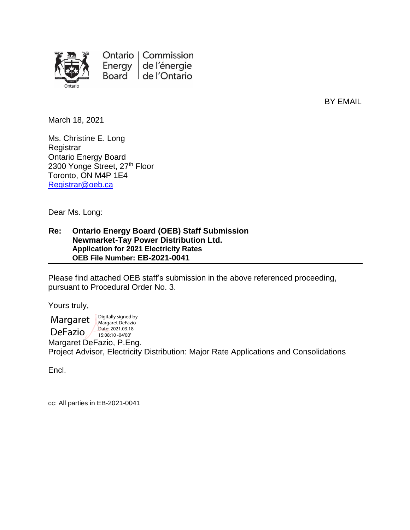

Ontario | Commission Energy  $|$ de l'énergie Board de l'Ontario

BY EMAIL

March 18, 2021

Ms. Christine E. Long **Registrar** Ontario Energy Board 2300 Yonge Street, 27<sup>th</sup> Floor Toronto, ON M4P 1E4 [Registrar@oeb.ca](mailto:Registrar@oeb.ca)

Dear Ms. Long:

#### **Re: Ontario Energy Board (OEB) Staff Submission Newmarket-Tay Power Distribution Ltd. Application for 2021 Electricity Rates OEB File Number: EB-2021-0041**

Please find attached OEB staff's submission in the above referenced proceeding, pursuant to Procedural Order No. 3.

Yours truly,

**Margaret** DeFazio Digitally signed by Margaret DeFazio Date: 2021.03.18 15:08:10 -04'00'

Margaret DeFazio, P.Eng. Project Advisor, Electricity Distribution: Major Rate Applications and Consolidations

Encl.

cc: All parties in EB-2021-0041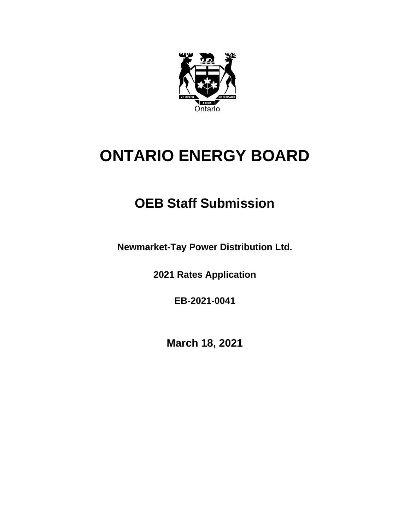

# **ONTARIO ENERGY BOARD**

## **OEB Staff Submission**

**Newmarket-Tay Power Distribution Ltd.**

**2021 Rates Application**

**EB-2021-0041**

**March 18, 2021**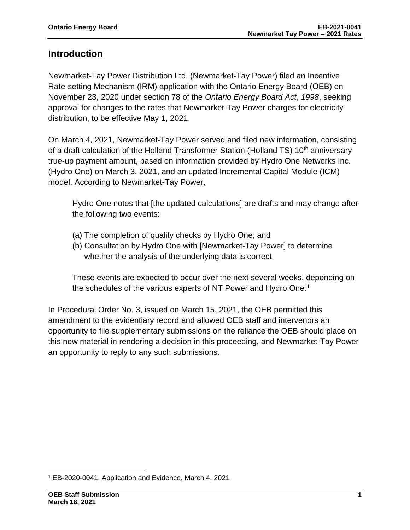### **Introduction**

Newmarket-Tay Power Distribution Ltd. (Newmarket-Tay Power) filed an Incentive Rate-setting Mechanism (IRM) application with the Ontario Energy Board (OEB) on November 23, 2020 under section 78 of the *Ontario Energy Board Act*, *1998*, seeking approval for changes to the rates that Newmarket-Tay Power charges for electricity distribution, to be effective May 1, 2021.

On March 4, 2021, Newmarket-Tay Power served and filed new information, consisting of a draft calculation of the Holland Transformer Station (Holland TS) 10<sup>th</sup> anniversary true-up payment amount, based on information provided by Hydro One Networks Inc. (Hydro One) on March 3, 2021, and an updated Incremental Capital Module (ICM) model. According to Newmarket-Tay Power,

Hydro One notes that [the updated calculations] are drafts and may change after the following two events:

- (a) The completion of quality checks by Hydro One; and
- (b) Consultation by Hydro One with [Newmarket-Tay Power] to determine whether the analysis of the underlying data is correct.

These events are expected to occur over the next several weeks, depending on the schedules of the various experts of NT Power and Hydro One.<sup>1</sup>

In Procedural Order No. 3, issued on March 15, 2021, the OEB permitted this amendment to the evidentiary record and allowed OEB staff and intervenors an opportunity to file supplementary submissions on the reliance the OEB should place on this new material in rendering a decision in this proceeding, and Newmarket-Tay Power an opportunity to reply to any such submissions.

<sup>1</sup> EB-2020-0041, Application and Evidence, March 4, 2021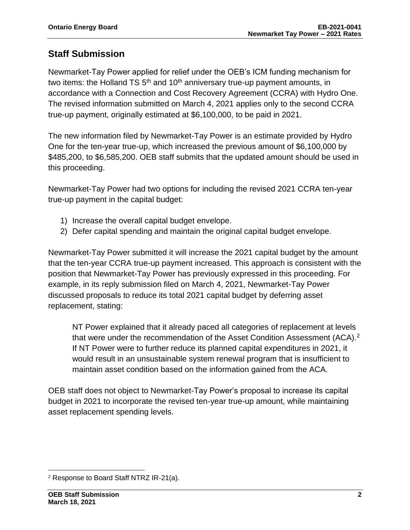### **Staff Submission**

Newmarket-Tay Power applied for relief under the OEB's ICM funding mechanism for two items: the Holland TS  $5<sup>th</sup>$  and 10<sup>th</sup> anniversary true-up payment amounts, in accordance with a Connection and Cost Recovery Agreement (CCRA) with Hydro One. The revised information submitted on March 4, 2021 applies only to the second CCRA true-up payment, originally estimated at \$6,100,000, to be paid in 2021.

The new information filed by Newmarket-Tay Power is an estimate provided by Hydro One for the ten-year true-up, which increased the previous amount of \$6,100,000 by \$485,200, to \$6,585,200. OEB staff submits that the updated amount should be used in this proceeding.

Newmarket-Tay Power had two options for including the revised 2021 CCRA ten-year true-up payment in the capital budget:

- 1) Increase the overall capital budget envelope.
- 2) Defer capital spending and maintain the original capital budget envelope.

Newmarket-Tay Power submitted it will increase the 2021 capital budget by the amount that the ten-year CCRA true-up payment increased. This approach is consistent with the position that Newmarket-Tay Power has previously expressed in this proceeding. For example, in its reply submission filed on March 4, 2021, Newmarket-Tay Power discussed proposals to reduce its total 2021 capital budget by deferring asset replacement, stating:

NT Power explained that it already paced all categories of replacement at levels that were under the recommendation of the Asset Condition Assessment (ACA).<sup>2</sup> If NT Power were to further reduce its planned capital expenditures in 2021, it would result in an unsustainable system renewal program that is insufficient to maintain asset condition based on the information gained from the ACA.

OEB staff does not object to Newmarket-Tay Power's proposal to increase its capital budget in 2021 to incorporate the revised ten-year true-up amount, while maintaining asset replacement spending levels.

<sup>2</sup> Response to Board Staff NTRZ IR-21(a).